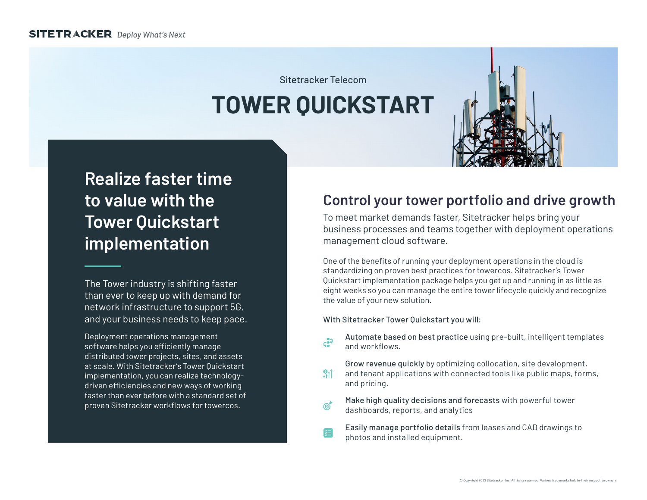Sitetracker Telecom

# **TOWER QUICKSTART**



## **Realize faster time to value with the Tower Quickstart implementation**

The Tower industry is shifting faster than ever to keep up with demand for network infrastructure to support 5G, and your business needs to keep pace.

Deployment operations management software helps you efficiently manage distributed tower projects, sites, and assets at scale. With Sitetracker's Tower Quickstart implementation, you can realize technologydriven efficiencies and new ways of working faster than ever before with a standard set of proven Sitetracker workflows for towercos.

## **Control your tower portfolio and drive growth**

To meet market demands faster, Sitetracker helps bring your business processes and teams together with deployment operations management cloud software.

One of the benefits of running your deployment operations in the cloud is standardizing on proven best practices for towercos. Sitetracker's Tower Quickstart implementation package helps you get up and running in as little as eight weeks so you can manage the entire tower lifecycle quickly and recognize the value of your new solution.

With Sitetracker Tower Quickstart you will:

Automate based on best practice using pre-built, intelligent templates  $\mathfrak{c}$ and workflows.

- Grow revenue quickly by optimizing collocation, site development,  $91$ and tenant applications with connected tools like public maps, forms, and pricing.
- Make high quality decisions and forecasts with powerful tower  $\mathscr{C}^\blacktriangleright$ dashboards, reports, and analytics
- Easily manage portfolio details from leases and CAD drawings to 須 photos and installed equipment.